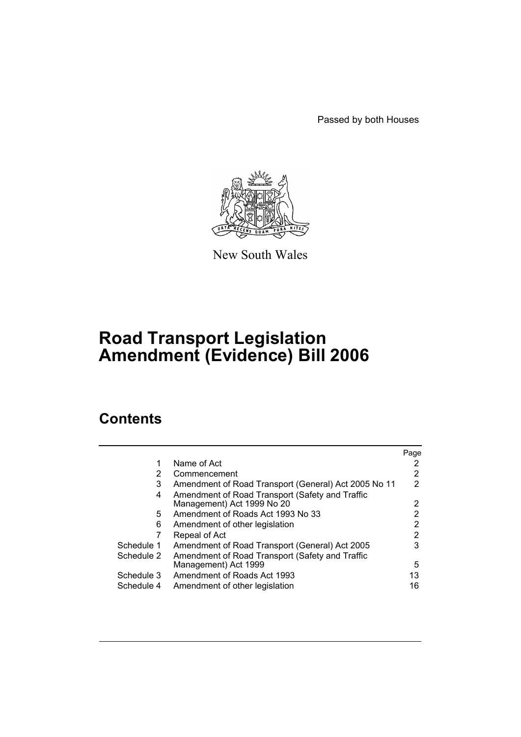Passed by both Houses



New South Wales

# **Road Transport Legislation Amendment (Evidence) Bill 2006**

# **Contents**

|            |                                                      | Page |
|------------|------------------------------------------------------|------|
|            | Name of Act                                          |      |
| 2          | Commencement                                         | 2    |
| 3          | Amendment of Road Transport (General) Act 2005 No 11 | 2    |
| 4          | Amendment of Road Transport (Safety and Traffic      |      |
|            | Management) Act 1999 No 20                           | 2    |
| 5.         | Amendment of Roads Act 1993 No 33                    |      |
| 6          | Amendment of other legislation                       | 2    |
|            | Repeal of Act                                        | 2    |
| Schedule 1 | Amendment of Road Transport (General) Act 2005       | 3    |
| Schedule 2 | Amendment of Road Transport (Safety and Traffic      |      |
|            | Management) Act 1999                                 | 5    |
| Schedule 3 | Amendment of Roads Act 1993                          | 13   |
| Schedule 4 | Amendment of other legislation                       | 16   |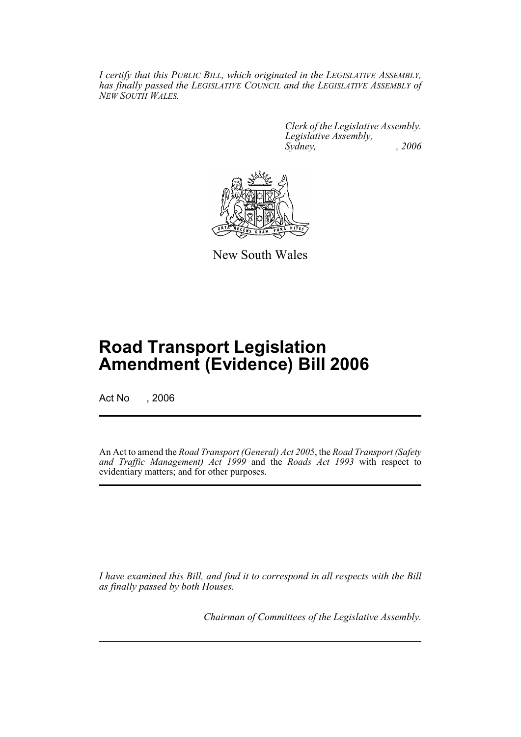*I certify that this PUBLIC BILL, which originated in the LEGISLATIVE ASSEMBLY, has finally passed the LEGISLATIVE COUNCIL and the LEGISLATIVE ASSEMBLY of NEW SOUTH WALES.*

> *Clerk of the Legislative Assembly. Legislative Assembly, Sydney, , 2006*



New South Wales

# **Road Transport Legislation Amendment (Evidence) Bill 2006**

Act No , 2006

An Act to amend the *Road Transport (General) Act 2005*, the *Road Transport (Safety and Traffic Management) Act 1999* and the *Roads Act 1993* with respect to evidentiary matters; and for other purposes.

*I have examined this Bill, and find it to correspond in all respects with the Bill as finally passed by both Houses.*

*Chairman of Committees of the Legislative Assembly.*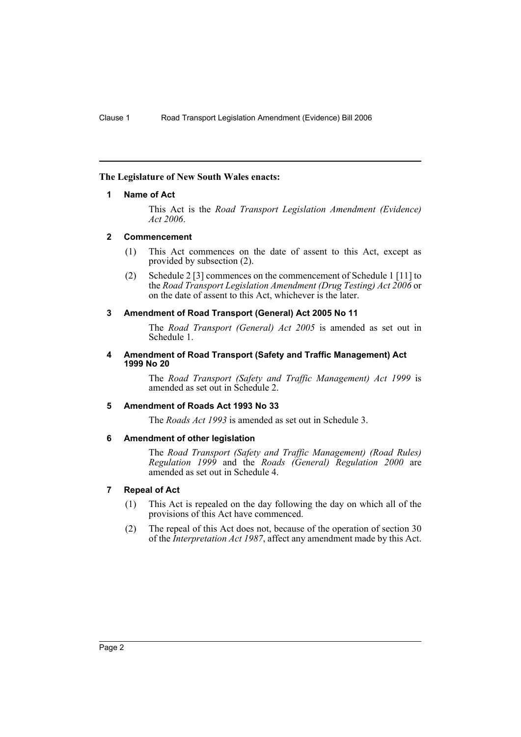### **The Legislature of New South Wales enacts:**

#### **1 Name of Act**

This Act is the *Road Transport Legislation Amendment (Evidence) Act 2006*.

## **2 Commencement**

- (1) This Act commences on the date of assent to this Act, except as provided by subsection (2).
- (2) Schedule 2 [3] commences on the commencement of Schedule 1 [11] to the *Road Transport Legislation Amendment (Drug Testing) Act 2006* or on the date of assent to this Act, whichever is the later.

## **3 Amendment of Road Transport (General) Act 2005 No 11**

The *Road Transport (General) Act 2005* is amended as set out in Schedule 1.

#### **4 Amendment of Road Transport (Safety and Traffic Management) Act 1999 No 20**

The *Road Transport (Safety and Traffic Management) Act 1999* is amended as set out in Schedule 2.

#### **5 Amendment of Roads Act 1993 No 33**

The *Roads Act 1993* is amended as set out in Schedule 3.

## **6 Amendment of other legislation**

The *Road Transport (Safety and Traffic Management) (Road Rules) Regulation 1999* and the *Roads (General) Regulation 2000* are amended as set out in Schedule 4.

## **7 Repeal of Act**

- (1) This Act is repealed on the day following the day on which all of the provisions of this Act have commenced.
- (2) The repeal of this Act does not, because of the operation of section 30 of the *Interpretation Act 1987*, affect any amendment made by this Act.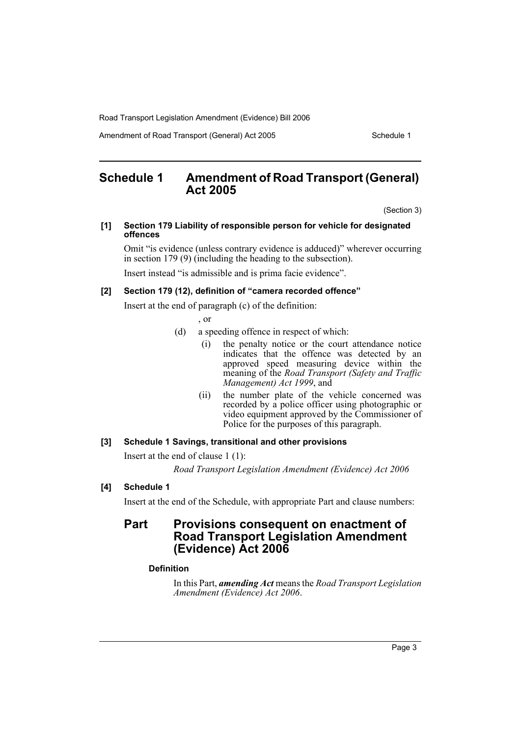Amendment of Road Transport (General) Act 2005 Schedule 1

# **Schedule 1 Amendment of Road Transport (General) Act 2005**

(Section 3)

#### **[1] Section 179 Liability of responsible person for vehicle for designated offences**

Omit "is evidence (unless contrary evidence is adduced)" wherever occurring in section 179 (9) (including the heading to the subsection).

Insert instead "is admissible and is prima facie evidence".

## **[2] Section 179 (12), definition of "camera recorded offence"**

Insert at the end of paragraph (c) of the definition:

, or

- (d) a speeding offence in respect of which:
	- (i) the penalty notice or the court attendance notice indicates that the offence was detected by an approved speed measuring device within the meaning of the *Road Transport (Safety and Traffic Management) Act 1999*, and
	- (ii) the number plate of the vehicle concerned was recorded by a police officer using photographic or video equipment approved by the Commissioner of Police for the purposes of this paragraph.

### **[3] Schedule 1 Savings, transitional and other provisions**

Insert at the end of clause 1 (1):

*Road Transport Legislation Amendment (Evidence) Act 2006*

## **[4] Schedule 1**

Insert at the end of the Schedule, with appropriate Part and clause numbers:

# **Part Provisions consequent on enactment of Road Transport Legislation Amendment (Evidence) Act 2006**

## **Definition**

In this Part, *amending Act* means the *Road Transport Legislation Amendment (Evidence) Act 2006*.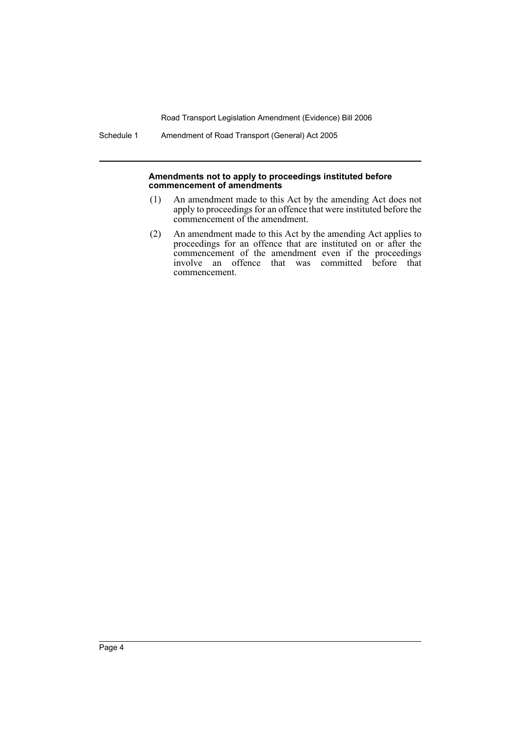Schedule 1 Amendment of Road Transport (General) Act 2005

#### **Amendments not to apply to proceedings instituted before commencement of amendments**

- (1) An amendment made to this Act by the amending Act does not apply to proceedings for an offence that were instituted before the commencement of the amendment.
- (2) An amendment made to this Act by the amending Act applies to proceedings for an offence that are instituted on or after the commencement of the amendment even if the proceedings involve an offence that was committed before that commencement.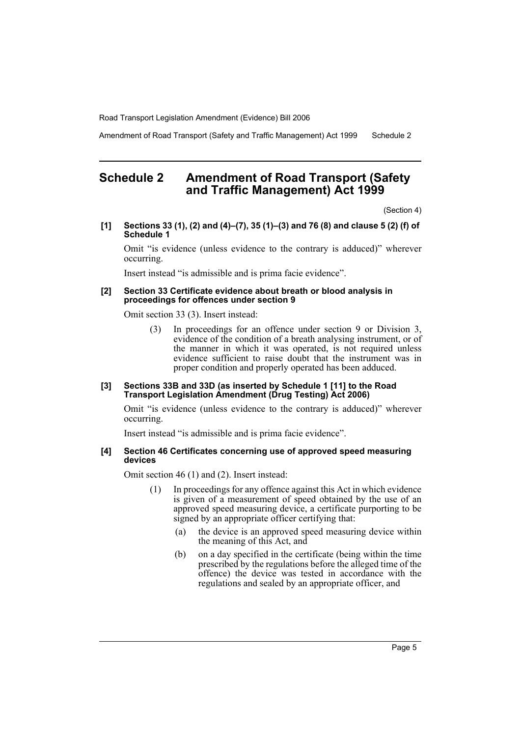Amendment of Road Transport (Safety and Traffic Management) Act 1999 Schedule 2

# **Schedule 2 Amendment of Road Transport (Safety and Traffic Management) Act 1999**

(Section 4)

**[1] Sections 33 (1), (2) and (4)–(7), 35 (1)–(3) and 76 (8) and clause 5 (2) (f) of Schedule 1**

Omit "is evidence (unless evidence to the contrary is adduced)" wherever occurring.

Insert instead "is admissible and is prima facie evidence".

#### **[2] Section 33 Certificate evidence about breath or blood analysis in proceedings for offences under section 9**

Omit section 33 (3). Insert instead:

(3) In proceedings for an offence under section 9 or Division 3, evidence of the condition of a breath analysing instrument, or of the manner in which it was operated, is not required unless evidence sufficient to raise doubt that the instrument was in proper condition and properly operated has been adduced.

#### **[3] Sections 33B and 33D (as inserted by Schedule 1 [11] to the Road Transport Legislation Amendment (Drug Testing) Act 2006)**

Omit "is evidence (unless evidence to the contrary is adduced)" wherever occurring.

Insert instead "is admissible and is prima facie evidence".

#### **[4] Section 46 Certificates concerning use of approved speed measuring devices**

Omit section 46 (1) and (2). Insert instead:

- (1) In proceedings for any offence against this Act in which evidence is given of a measurement of speed obtained by the use of an approved speed measuring device, a certificate purporting to be signed by an appropriate officer certifying that:
	- (a) the device is an approved speed measuring device within the meaning of this Act, and
	- (b) on a day specified in the certificate (being within the time prescribed by the regulations before the alleged time of the offence) the device was tested in accordance with the regulations and sealed by an appropriate officer, and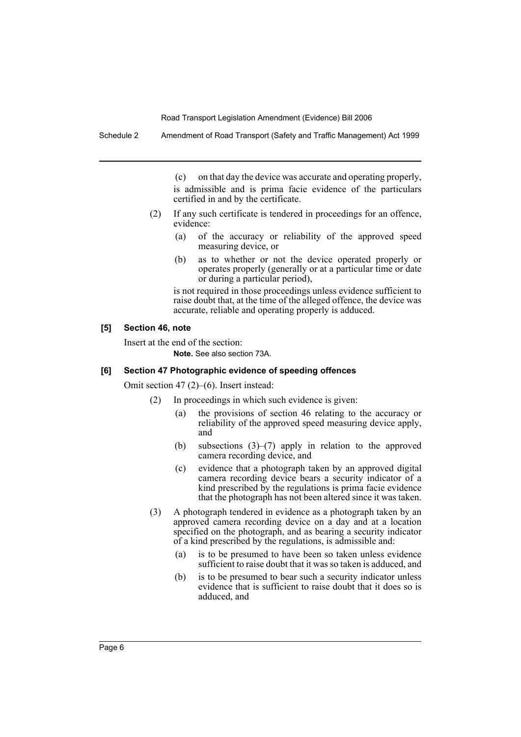Schedule 2 Amendment of Road Transport (Safety and Traffic Management) Act 1999

(c) on that day the device was accurate and operating properly, is admissible and is prima facie evidence of the particulars certified in and by the certificate.

- (2) If any such certificate is tendered in proceedings for an offence, evidence:
	- (a) of the accuracy or reliability of the approved speed measuring device, or
	- (b) as to whether or not the device operated properly or operates properly (generally or at a particular time or date or during a particular period),

is not required in those proceedings unless evidence sufficient to raise doubt that, at the time of the alleged offence, the device was accurate, reliable and operating properly is adduced.

#### **[5] Section 46, note**

Insert at the end of the section: **Note.** See also section 73A.

### **[6] Section 47 Photographic evidence of speeding offences**

Omit section 47 (2)–(6). Insert instead:

- (2) In proceedings in which such evidence is given:
	- (a) the provisions of section 46 relating to the accuracy or reliability of the approved speed measuring device apply, and
	- (b) subsections (3)–(7) apply in relation to the approved camera recording device, and
	- (c) evidence that a photograph taken by an approved digital camera recording device bears a security indicator of a kind prescribed by the regulations is prima facie evidence that the photograph has not been altered since it was taken.
- (3) A photograph tendered in evidence as a photograph taken by an approved camera recording device on a day and at a location specified on the photograph, and as bearing a security indicator of a kind prescribed by the regulations, is admissible and:
	- (a) is to be presumed to have been so taken unless evidence sufficient to raise doubt that it was so taken is adduced, and
	- (b) is to be presumed to bear such a security indicator unless evidence that is sufficient to raise doubt that it does so is adduced, and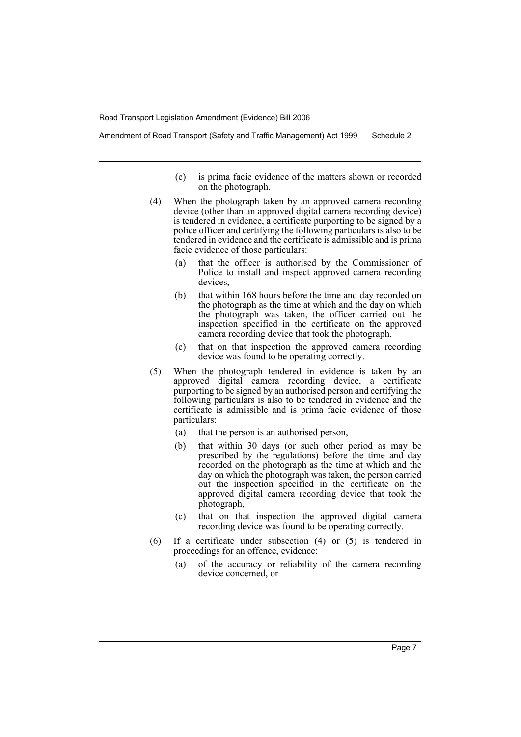Amendment of Road Transport (Safety and Traffic Management) Act 1999 Schedule 2

- (c) is prima facie evidence of the matters shown or recorded on the photograph.
- (4) When the photograph taken by an approved camera recording device (other than an approved digital camera recording device) is tendered in evidence, a certificate purporting to be signed by a police officer and certifying the following particulars is also to be tendered in evidence and the certificate is admissible and is prima facie evidence of those particulars:
	- (a) that the officer is authorised by the Commissioner of Police to install and inspect approved camera recording devices,
	- (b) that within 168 hours before the time and day recorded on the photograph as the time at which and the day on which the photograph was taken, the officer carried out the inspection specified in the certificate on the approved camera recording device that took the photograph,
	- (c) that on that inspection the approved camera recording device was found to be operating correctly.
- (5) When the photograph tendered in evidence is taken by an approved digital camera recording device, a certificate purporting to be signed by an authorised person and certifying the following particulars is also to be tendered in evidence and the certificate is admissible and is prima facie evidence of those particulars:
	- (a) that the person is an authorised person,
	- (b) that within 30 days (or such other period as may be prescribed by the regulations) before the time and day recorded on the photograph as the time at which and the day on which the photograph was taken, the person carried out the inspection specified in the certificate on the approved digital camera recording device that took the photograph,
	- (c) that on that inspection the approved digital camera recording device was found to be operating correctly.
- (6) If a certificate under subsection (4) or (5) is tendered in proceedings for an offence, evidence:
	- (a) of the accuracy or reliability of the camera recording device concerned, or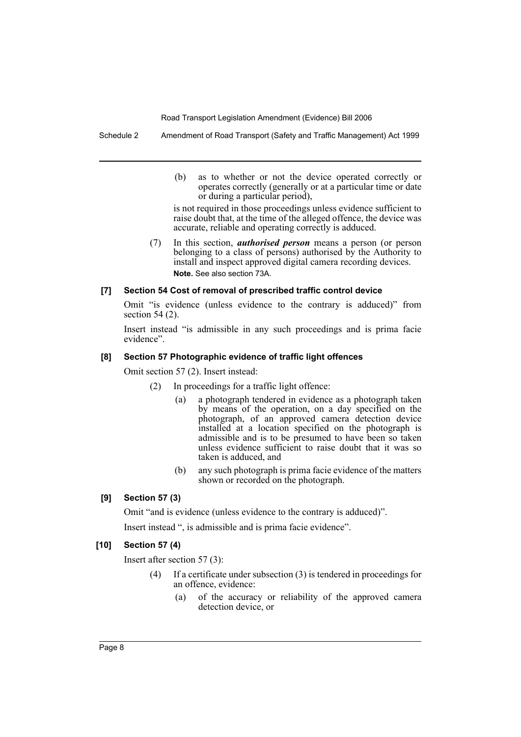Schedule 2 Amendment of Road Transport (Safety and Traffic Management) Act 1999

(b) as to whether or not the device operated correctly or operates correctly (generally or at a particular time or date or during a particular period),

is not required in those proceedings unless evidence sufficient to raise doubt that, at the time of the alleged offence, the device was accurate, reliable and operating correctly is adduced.

(7) In this section, *authorised person* means a person (or person belonging to a class of persons) authorised by the Authority to install and inspect approved digital camera recording devices. **Note.** See also section 73A.

## **[7] Section 54 Cost of removal of prescribed traffic control device**

Omit "is evidence (unless evidence to the contrary is adduced)" from section 54 (2).

Insert instead "is admissible in any such proceedings and is prima facie evidence".

## **[8] Section 57 Photographic evidence of traffic light offences**

Omit section 57 (2). Insert instead:

- (2) In proceedings for a traffic light offence:
	- (a) a photograph tendered in evidence as a photograph taken by means of the operation, on a day specified on the photograph, of an approved camera detection device installed at a location specified on the photograph is admissible and is to be presumed to have been so taken unless evidence sufficient to raise doubt that it was so taken is adduced, and
	- (b) any such photograph is prima facie evidence of the matters shown or recorded on the photograph.

## **[9] Section 57 (3)**

Omit "and is evidence (unless evidence to the contrary is adduced)".

Insert instead ", is admissible and is prima facie evidence".

## **[10] Section 57 (4)**

Insert after section 57 (3):

- If a certificate under subsection  $(3)$  is tendered in proceedings for an offence, evidence:
	- (a) of the accuracy or reliability of the approved camera detection device, or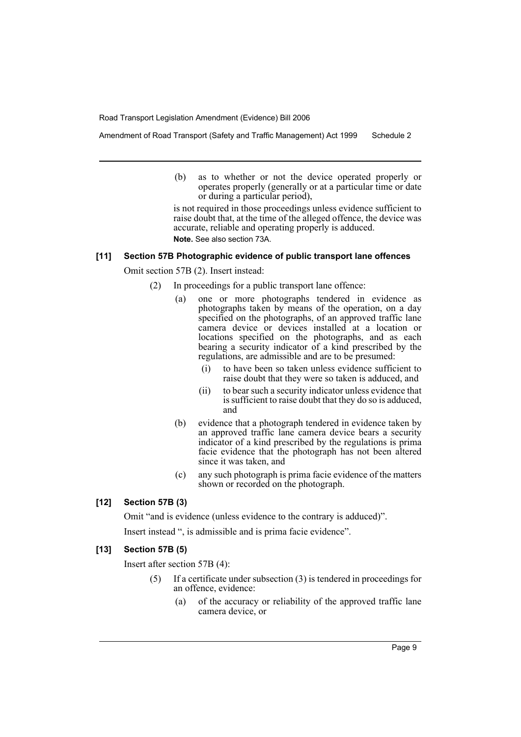Amendment of Road Transport (Safety and Traffic Management) Act 1999 Schedule 2

(b) as to whether or not the device operated properly or operates properly (generally or at a particular time or date or during a particular period),

is not required in those proceedings unless evidence sufficient to raise doubt that, at the time of the alleged offence, the device was accurate, reliable and operating properly is adduced. **Note.** See also section 73A.

#### **[11] Section 57B Photographic evidence of public transport lane offences**

Omit section 57B (2). Insert instead:

- (2) In proceedings for a public transport lane offence:
	- (a) one or more photographs tendered in evidence as photographs taken by means of the operation, on a day specified on the photographs, of an approved traffic lane camera device or devices installed at a location or locations specified on the photographs, and as each bearing a security indicator of a kind prescribed by the regulations, are admissible and are to be presumed:
		- (i) to have been so taken unless evidence sufficient to raise doubt that they were so taken is adduced, and
		- (ii) to bear such a security indicator unless evidence that is sufficient to raise doubt that they do so is adduced, and
	- (b) evidence that a photograph tendered in evidence taken by an approved traffic lane camera device bears a security indicator of a kind prescribed by the regulations is prima facie evidence that the photograph has not been altered since it was taken, and
	- (c) any such photograph is prima facie evidence of the matters shown or recorded on the photograph.

## **[12] Section 57B (3)**

Omit "and is evidence (unless evidence to the contrary is adduced)".

Insert instead ", is admissible and is prima facie evidence".

### **[13] Section 57B (5)**

Insert after section 57B (4):

- (5) If a certificate under subsection (3) is tendered in proceedings for an offence, evidence:
	- (a) of the accuracy or reliability of the approved traffic lane camera device, or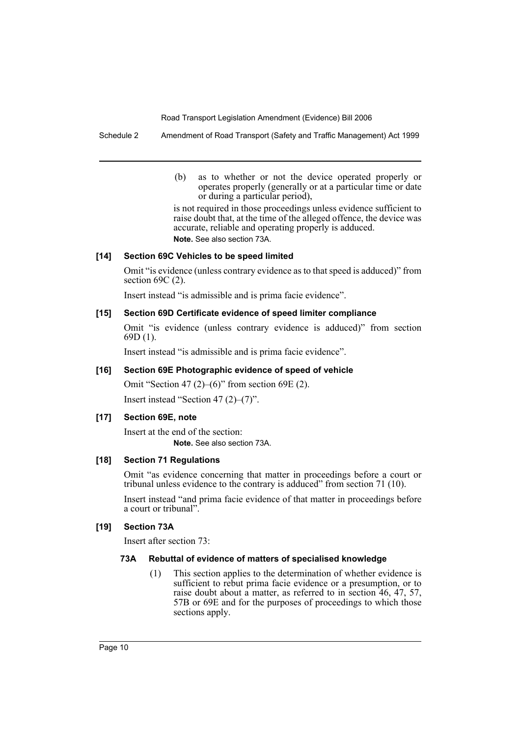Schedule 2 Amendment of Road Transport (Safety and Traffic Management) Act 1999

(b) as to whether or not the device operated properly or operates properly (generally or at a particular time or date or during a particular period),

is not required in those proceedings unless evidence sufficient to raise doubt that, at the time of the alleged offence, the device was accurate, reliable and operating properly is adduced. **Note.** See also section 73A.

## **[14] Section 69C Vehicles to be speed limited**

Omit "is evidence (unless contrary evidence as to that speed is adduced)" from section 69C (2).

Insert instead "is admissible and is prima facie evidence".

## **[15] Section 69D Certificate evidence of speed limiter compliance**

Omit "is evidence (unless contrary evidence is adduced)" from section 69D (1).

Insert instead "is admissible and is prima facie evidence".

## **[16] Section 69E Photographic evidence of speed of vehicle**

Omit "Section 47 (2)–(6)" from section 69E (2). Insert instead "Section 47 (2)–(7)".

## **[17] Section 69E, note**

Insert at the end of the section: **Note.** See also section 73A.

#### **[18] Section 71 Regulations**

Omit "as evidence concerning that matter in proceedings before a court or tribunal unless evidence to the contrary is adduced" from section 71 (10).

Insert instead "and prima facie evidence of that matter in proceedings before a court or tribunal".

## **[19] Section 73A**

Insert after section 73:

#### **73A Rebuttal of evidence of matters of specialised knowledge**

(1) This section applies to the determination of whether evidence is sufficient to rebut prima facie evidence or a presumption, or to raise doubt about a matter, as referred to in section  $46, 47, 57,$ 57B or 69E and for the purposes of proceedings to which those sections apply.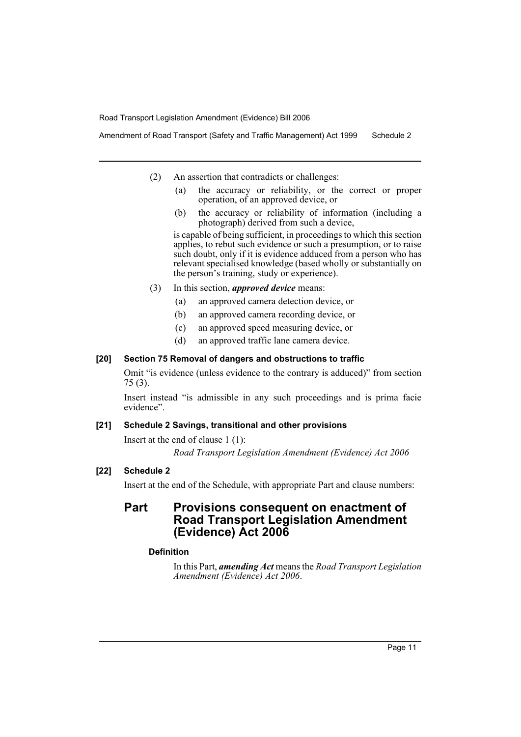Amendment of Road Transport (Safety and Traffic Management) Act 1999 Schedule 2

- (2) An assertion that contradicts or challenges:
	- (a) the accuracy or reliability, or the correct or proper operation, of an approved device, or
	- (b) the accuracy or reliability of information (including a photograph) derived from such a device,

is capable of being sufficient, in proceedings to which this section applies, to rebut such evidence or such a presumption, or to raise such doubt, only if it is evidence adduced from a person who has relevant specialised knowledge (based wholly or substantially on the person's training, study or experience).

- (3) In this section, *approved device* means:
	- (a) an approved camera detection device, or
	- (b) an approved camera recording device, or
	- (c) an approved speed measuring device, or
	- (d) an approved traffic lane camera device.

## **[20] Section 75 Removal of dangers and obstructions to traffic**

Omit "is evidence (unless evidence to the contrary is adduced)" from section 75 (3).

Insert instead "is admissible in any such proceedings and is prima facie evidence".

## **[21] Schedule 2 Savings, transitional and other provisions**

Insert at the end of clause 1 (1):

*Road Transport Legislation Amendment (Evidence) Act 2006*

## **[22] Schedule 2**

Insert at the end of the Schedule, with appropriate Part and clause numbers:

# **Part Provisions consequent on enactment of Road Transport Legislation Amendment (Evidence) Act 2006**

## **Definition**

In this Part, *amending Act* means the *Road Transport Legislation Amendment (Evidence) Act 2006*.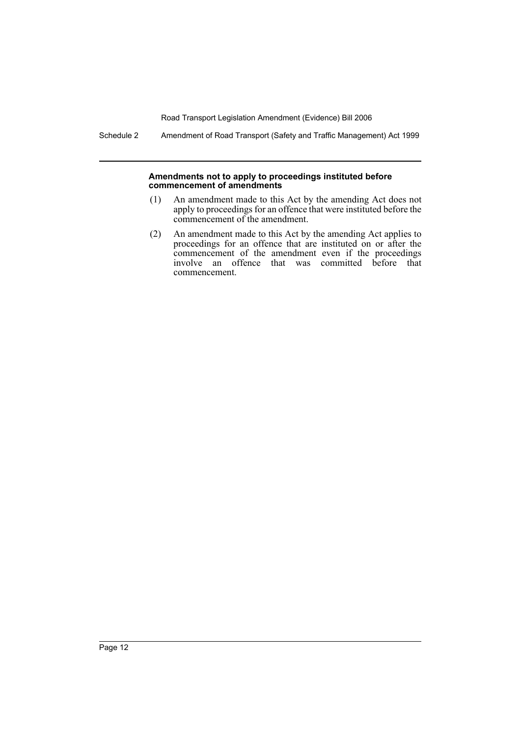Schedule 2 Amendment of Road Transport (Safety and Traffic Management) Act 1999

#### **Amendments not to apply to proceedings instituted before commencement of amendments**

- (1) An amendment made to this Act by the amending Act does not apply to proceedings for an offence that were instituted before the commencement of the amendment.
- (2) An amendment made to this Act by the amending Act applies to proceedings for an offence that are instituted on or after the commencement of the amendment even if the proceedings involve an offence that was committed before that commencement.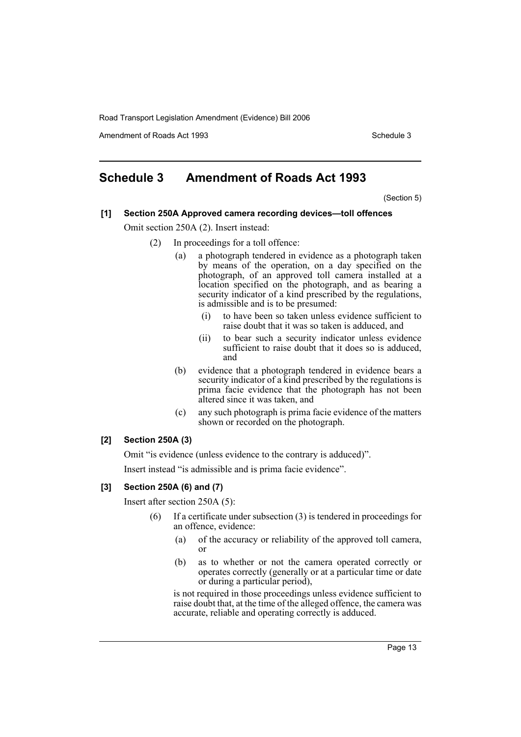Amendment of Roads Act 1993 Schedule 3

# **Schedule 3 Amendment of Roads Act 1993**

(Section 5)

# **[1] Section 250A Approved camera recording devices—toll offences**

Omit section 250A (2). Insert instead:

- (2) In proceedings for a toll offence:
	- (a) a photograph tendered in evidence as a photograph taken by means of the operation, on a day specified on the photograph, of an approved toll camera installed at a location specified on the photograph, and as bearing a security indicator of a kind prescribed by the regulations, is admissible and is to be presumed:
		- (i) to have been so taken unless evidence sufficient to raise doubt that it was so taken is adduced, and
		- (ii) to bear such a security indicator unless evidence sufficient to raise doubt that it does so is adduced, and
	- (b) evidence that a photograph tendered in evidence bears a security indicator of a kind prescribed by the regulations is prima facie evidence that the photograph has not been altered since it was taken, and
	- (c) any such photograph is prima facie evidence of the matters shown or recorded on the photograph.

## **[2] Section 250A (3)**

Omit "is evidence (unless evidence to the contrary is adduced)".

Insert instead "is admissible and is prima facie evidence".

## **[3] Section 250A (6) and (7)**

Insert after section 250A (5):

- (6) If a certificate under subsection (3) is tendered in proceedings for an offence, evidence:
	- (a) of the accuracy or reliability of the approved toll camera, or
	- (b) as to whether or not the camera operated correctly or operates correctly (generally or at a particular time or date or during a particular period),

is not required in those proceedings unless evidence sufficient to raise doubt that, at the time of the alleged offence, the camera was accurate, reliable and operating correctly is adduced.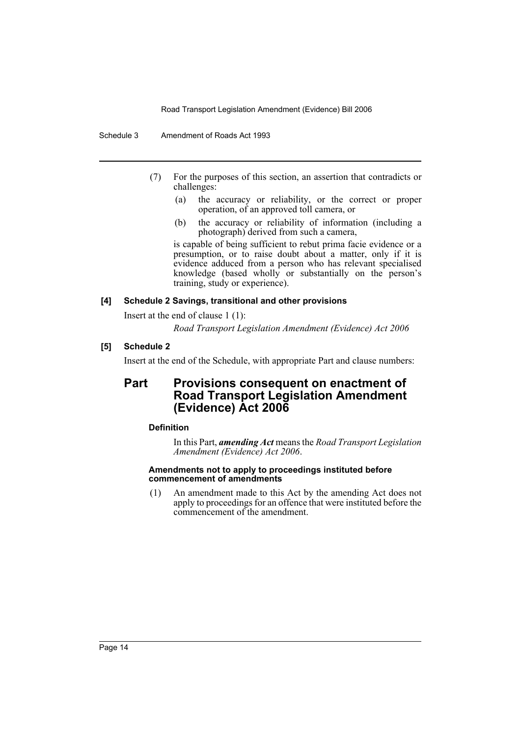Schedule 3 Amendment of Roads Act 1993

- (7) For the purposes of this section, an assertion that contradicts or challenges:
	- (a) the accuracy or reliability, or the correct or proper operation, of an approved toll camera, or
	- (b) the accuracy or reliability of information (including a photograph) derived from such a camera,

is capable of being sufficient to rebut prima facie evidence or a presumption, or to raise doubt about a matter, only if it is evidence adduced from a person who has relevant specialised knowledge (based wholly or substantially on the person's training, study or experience).

#### **[4] Schedule 2 Savings, transitional and other provisions**

Insert at the end of clause 1 (1):

*Road Transport Legislation Amendment (Evidence) Act 2006*

## **[5] Schedule 2**

Insert at the end of the Schedule, with appropriate Part and clause numbers:

# **Part Provisions consequent on enactment of Road Transport Legislation Amendment (Evidence) Act 2006**

## **Definition**

In this Part, *amending Act* means the *Road Transport Legislation Amendment (Evidence) Act 2006*.

## **Amendments not to apply to proceedings instituted before commencement of amendments**

(1) An amendment made to this Act by the amending Act does not apply to proceedings for an offence that were instituted before the commencement of the amendment.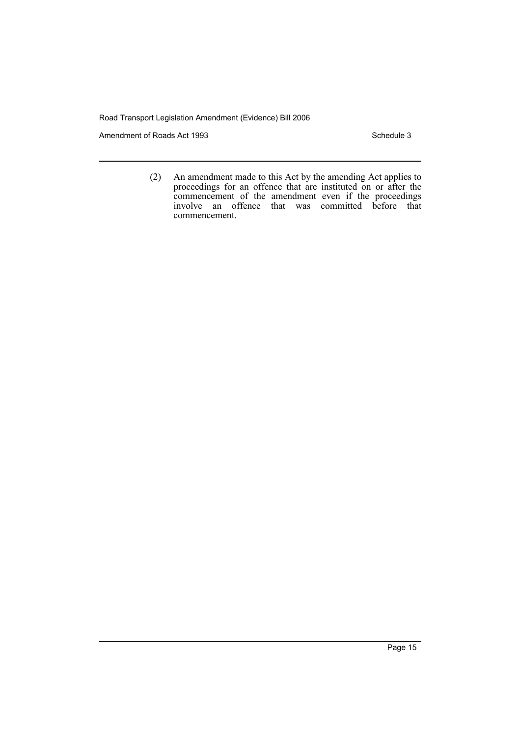Amendment of Roads Act 1993 Schedule 3

(2) An amendment made to this Act by the amending Act applies to proceedings for an offence that are instituted on or after the commencement of the amendment even if the proceedings involve an offence that was committed before that commencement.